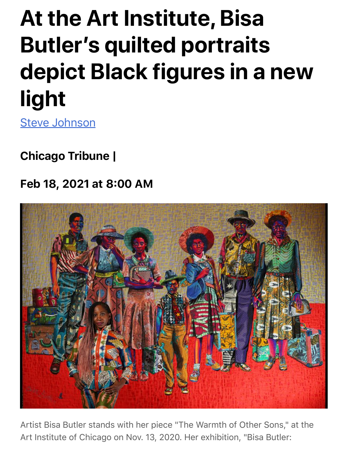## **At the Art Institute, Bisa Butler's quilted portraits depict Black figures in a new light**

[Steve Johnson](https://www.chicagotribune.com/chinews-steve-johnson-20130507-staff.html#nt=byline)

Chicago Tribune |

## Feb 18, 2021 at 8:00 AM



Artist Bisa Butler stands with her piece "The Warmth of Other Sons," at the Art Institute of Chicago on Nov. 13, 2020. Her exhibition, "Bisa Butler: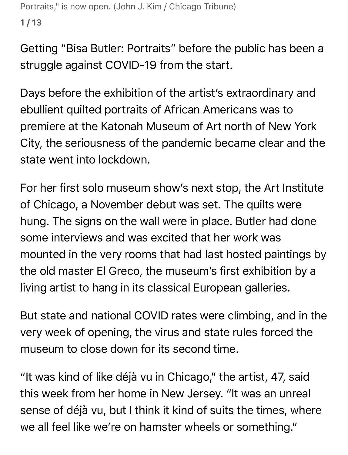```
Portraits," is now open. (John J. Kim / Chicago Tribune)
1 / 13
```
Getting "Bisa Butler: Portraits" before the public has been a struggle against COVID-19 from the start.

Days before the exhibition of the artist's extraordinary and ebullient quilted portraits of African Americans was to premiere at the Katonah Museum of Art north of New York City, the seriousness of the pandemic became clear and the state went into lockdown.

For her first solo museum show's next stop, the Art Institute of Chicago, a November debut was set. The quilts were hung. The signs on the wall were in place. Butler had done some interviews and was excited that her work was mounted in the very rooms that had last hosted paintings by the old master El Greco, the museum's first exhibition by a living artist to hang in its classical European galleries.

But state and national COVID rates were climbing, and in the very week of opening, the virus and state rules forced the museum to close down for its second time.

"It was kind of like déjà vu in Chicago," the artist, 47, said this week from her home in New Jersey. "It was an unreal sense of déjà vu, but I think it kind of suits the times, where we all feel like we're on hamster wheels or something."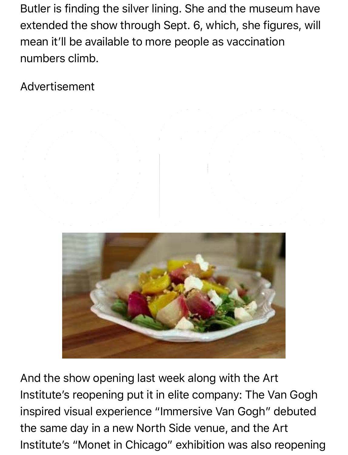Butler is finding the silver lining. She and the museum have extended the show through Sept. 6, which, she figures, will mean it'll be available to more people as vaccination numbers climb.

Advertisement





And the show opening last week along with the Art Institute's reopening put it in elite company: The Van Gogh inspired visual experience "Immersive Van Gogh" debuted the same day in a new North Side venue, and the Art Institute's "Monet in Chicago" exhibition was also reopening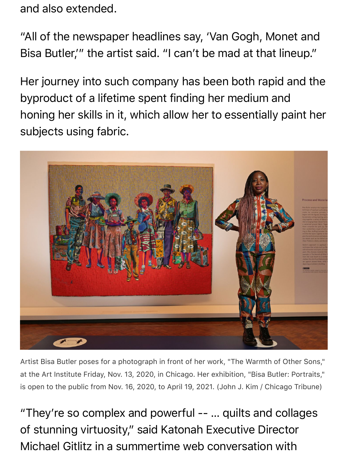and also extended.

"All of the newspaper headlines say, 'Van Gogh, Monet and Bisa Butler,'" the artist said. "I can't be mad at that lineup."

Her journey into such company has been both rapid and the byproduct of a lifetime spent finding her medium and honing her skills in it, which allow her to essentially paint her subjects using fabric.



Artist Bisa Butler poses for a photograph in front of her work, "The Warmth of Other Sons," at the Art Institute Friday, Nov. 13, 2020, in Chicago. Her exhibition, "Bisa Butler: Portraits," is open to the public from Nov. 16, 2020, to April 19, 2021. (John J. Kim / Chicago Tribune)

"They're so complex and powerful -- … quilts and collages of stunning virtuosity," said Katonah Executive Director Michael Gitlitz in a summertime web conversation with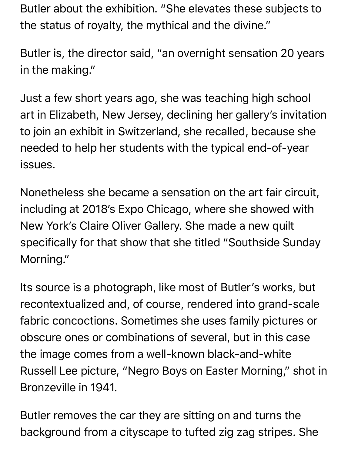Butler about the exhibition. "She elevates these subjects to the status of royalty, the mythical and the divine."

Butler is, the director said, "an overnight sensation 20 years in the making."

Just a few short years ago, she was teaching high school art in Elizabeth, New Jersey, declining her gallery's invitation to join an exhibit in Switzerland, she recalled, because she needed to help her students with the typical end-of-year issues.

Nonetheless she became a sensation on the art fair circuit, including at 2018′s Expo Chicago, where she showed with New York's Claire Oliver Gallery. She made a new quilt specifically for that show that she titled "Southside Sunday Morning."

Its source is a photograph, like most of Butler's works, but recontextualized and, of course, rendered into grand-scale fabric concoctions. Sometimes she uses family pictures or obscure ones or combinations of several, but in this case the image comes from a well-known black-and-white Russell Lee picture, "Negro Boys on Easter Morning," shot in Bronzeville in 1941.

Butler removes the car they are sitting on and turns the background from a cityscape to tufted zig zag stripes. She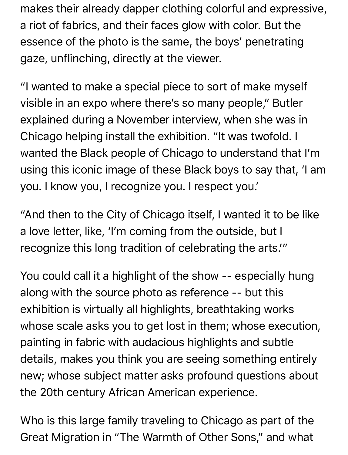makes their already dapper clothing colorful and expressive, a riot of fabrics, and their faces glow with color. But the essence of the photo is the same, the boys' penetrating gaze, unflinching, directly at the viewer.

"I wanted to make a special piece to sort of make myself visible in an expo where there's so many people," Butler explained during a November interview, when she was in Chicago helping install the exhibition. "It was twofold. I wanted the Black people of Chicago to understand that I'm using this iconic image of these Black boys to say that, 'I am you. I know you, I recognize you. I respect you.'

"And then to the City of Chicago itself, I wanted it to be like a love letter, like, 'I'm coming from the outside, but I recognize this long tradition of celebrating the arts.'"

You could call it a highlight of the show -- especially hung along with the source photo as reference -- but this exhibition is virtually all highlights, breathtaking works whose scale asks you to get lost in them; whose execution, painting in fabric with audacious highlights and subtle details, makes you think you are seeing something entirely new; whose subject matter asks profound questions about the 20th century African American experience.

Who is this large family traveling to Chicago as part of the Great Migration in "The Warmth of Other Sons," and what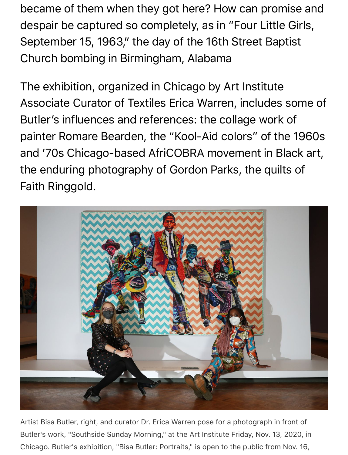became of them when they got here? How can promise and despair be captured so completely, as in "Four Little Girls, September 15, 1963," the day of the 16th Street Baptist Church bombing in Birmingham, Alabama

The exhibition, organized in Chicago by Art Institute Associate Curator of Textiles Erica Warren, includes some of Butler's influences and references: the collage work of painter Romare Bearden, the "Kool-Aid colors" of the 1960s and '70s Chicago-based AfriCOBRA movement in Black art, the enduring photography of Gordon Parks, the quilts of Faith Ringgold.



Artist Bisa Butler, right, and curator Dr. Erica Warren pose for a photograph in front of Butler's work, "Southside Sunday Morning," at the Art Institute Friday, Nov. 13, 2020, in Chicago. Butler's exhibition, "Bisa Butler: Portraits," is open to the public from Nov. 16,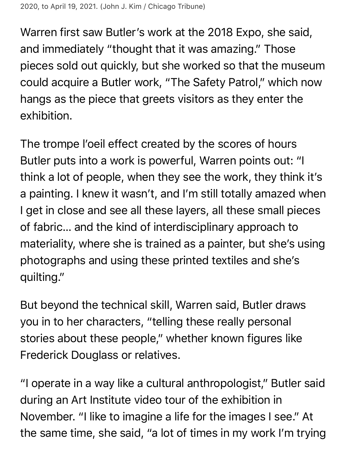Warren first saw Butler's work at the 2018 Expo, she said, and immediately "thought that it was amazing." Those pieces sold out quickly, but she worked so that the museum could acquire a Butler work, "The Safety Patrol," which now hangs as the piece that greets visitors as they enter the exhibition.

The trompe l'oeil effect created by the scores of hours Butler puts into a work is powerful, Warren points out: "I think a lot of people, when they see the work, they think it's a painting. I knew it wasn't, and I'm still totally amazed when I get in close and see all these layers, all these small pieces of fabric… and the kind of interdisciplinary approach to materiality, where she is trained as a painter, but she's using photographs and using these printed textiles and she's quilting."

But beyond the technical skill, Warren said, Butler draws you in to her characters, "telling these really personal stories about these people," whether known figures like Frederick Douglass or relatives.

"I operate in a way like a cultural anthropologist," Butler said during an Art Institute video tour of the exhibition in November. "I like to imagine a life for the images I see." At the same time, she said, "a lot of times in my work I'm trying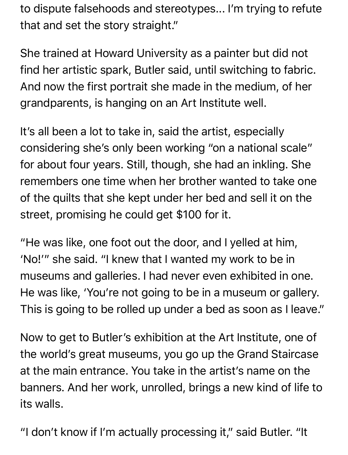to dispute falsehoods and stereotypes... I'm trying to refute that and set the story straight."

She trained at Howard University as a painter but did not find her artistic spark, Butler said, until switching to fabric. And now the first portrait she made in the medium, of her grandparents, is hanging on an Art Institute well.

It's all been a lot to take in, said the artist, especially considering she's only been working "on a national scale" for about four years. Still, though, she had an inkling. She remembers one time when her brother wanted to take one of the quilts that she kept under her bed and sell it on the street, promising he could get \$100 for it.

"He was like, one foot out the door, and I yelled at him, 'No!'" she said. "I knew that I wanted my work to be in museums and galleries. I had never even exhibited in one. He was like, 'You're not going to be in a museum or gallery. This is going to be rolled up under a bed as soon as I leave."

Now to get to Butler's exhibition at the Art Institute, one of the world's great museums, you go up the Grand Staircase at the main entrance. You take in the artist's name on the banners. And her work, unrolled, brings a new kind of life to its walls.

"I don't know if I'm actually processing it," said Butler. "It